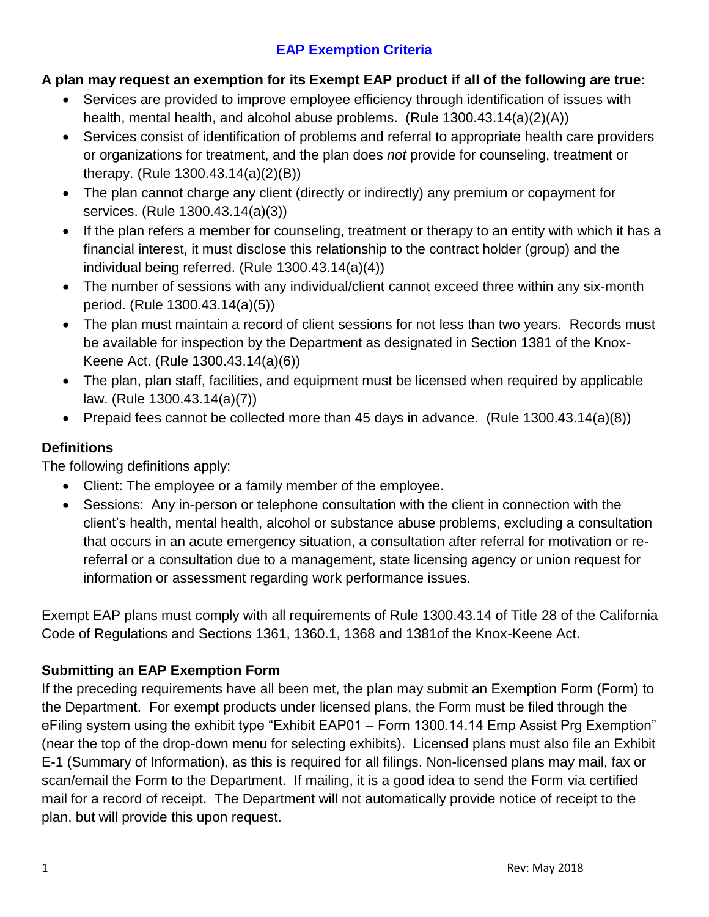## **EAP Exemption Criteria**

### **A plan may request an exemption for its Exempt EAP product if all of the following are true:**

- Services are provided to improve employee efficiency through identification of issues with health, mental health, and alcohol abuse problems. (Rule 1300.43.14(a)(2)(A))
- Services consist of identification of problems and referral to appropriate health care providers or organizations for treatment, and the plan does *not* provide for counseling, treatment or therapy. (Rule 1300.43.14(a)(2)(B))
- The plan cannot charge any client (directly or indirectly) any premium or copayment for services. (Rule 1300.43.14(a)(3))
- If the plan refers a member for counseling, treatment or therapy to an entity with which it has a financial interest, it must disclose this relationship to the contract holder (group) and the individual being referred. (Rule 1300.43.14(a)(4))
- The number of sessions with any individual/client cannot exceed three within any six-month period. (Rule 1300.43.14(a)(5))
- The plan must maintain a record of client sessions for not less than two years. Records must be available for inspection by the Department as designated in Section 1381 of the Knox-Keene Act. (Rule 1300.43.14(a)(6))
- The plan, plan staff, facilities, and equipment must be licensed when required by applicable law. (Rule 1300.43.14(a)(7))
- Prepaid fees cannot be collected more than 45 days in advance. (Rule 1300.43.14(a)(8))

### **Definitions**

The following definitions apply:

- Client: The employee or a family member of the employee.
- Sessions: Any in-person or telephone consultation with the client in connection with the client's health, mental health, alcohol or substance abuse problems, excluding a consultation that occurs in an acute emergency situation, a consultation after referral for motivation or rereferral or a consultation due to a management, state licensing agency or union request for information or assessment regarding work performance issues.

Exempt EAP plans must comply with all requirements of Rule 1300.43.14 of Title 28 of the California Code of Regulations and Sections 1361, 1360.1, 1368 and 1381of the Knox-Keene Act.

### **Submitting an EAP Exemption Form**

If the preceding requirements have all been met, the plan may submit an Exemption Form (Form) to the Department. For exempt products under licensed plans, the Form must be filed through the eFiling system using the exhibit type "Exhibit EAP01 – Form 1300.14.14 Emp Assist Prg Exemption" (near the top of the drop-down menu for selecting exhibits). Licensed plans must also file an Exhibit E-1 (Summary of Information), as this is required for all filings. Non-licensed plans may mail, fax or scan/email the Form to the Department. If mailing, it is a good idea to send the Form via certified mail for a record of receipt. The Department will not automatically provide notice of receipt to the plan, but will provide this upon request.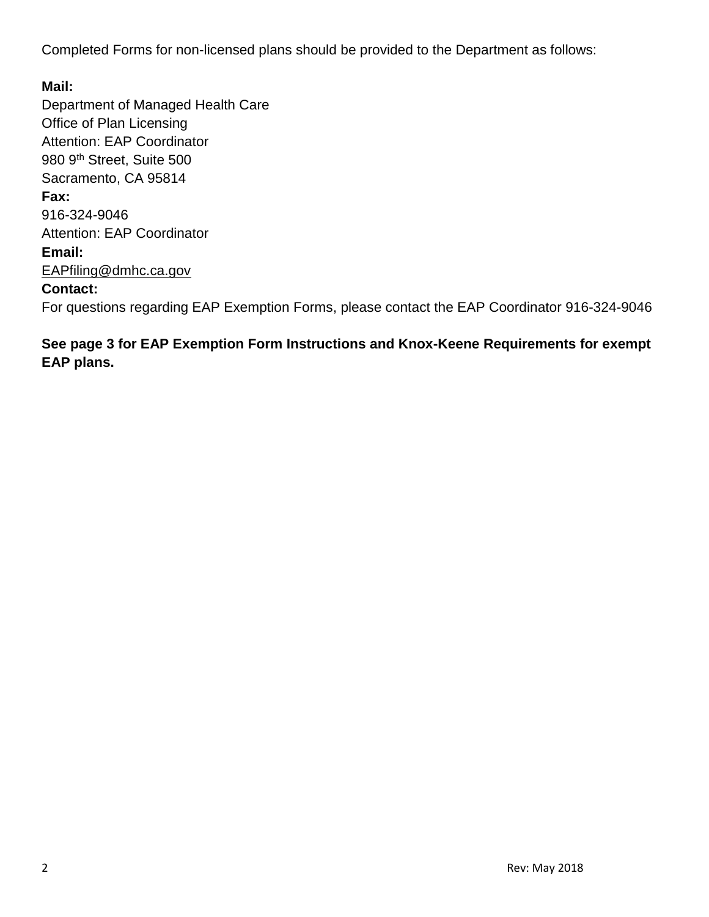Completed Forms for non-licensed plans should be provided to the Department as follows:

**Mail:** Department of Managed Health Care Office of Plan Licensing Attention: EAP Coordinator 980 9th Street, Suite 500 Sacramento, CA 95814 **Fax:** 916-324-9046 Attention: EAP Coordinator **Email:** EAPfiling@dmhc.ca.gov **Contact:** For questions regarding EAP Exemption Forms, please contact the EAP Coordinator 916-324-9046

**See page 3 for EAP Exemption Form Instructions and Knox-Keene Requirements for exempt EAP plans.**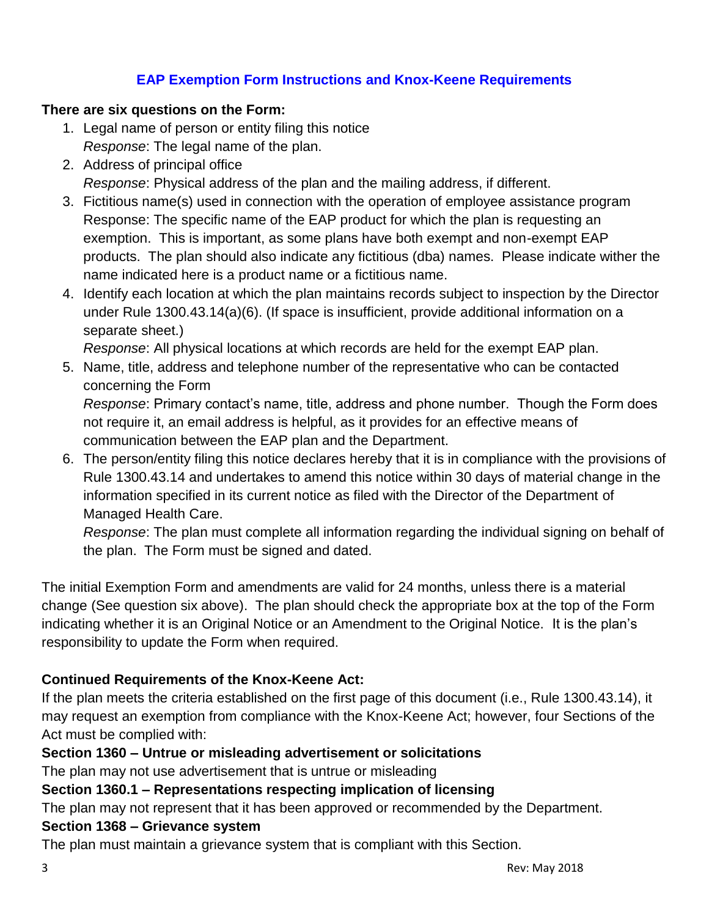### **EAP Exemption Form Instructions and Knox-Keene Requirements**

#### **There are six questions on the Form:**

- 1. Legal name of person or entity filing this notice *Response*: The legal name of the plan.
- 2. Address of principal office *Response*: Physical address of the plan and the mailing address, if different.
- 3. Fictitious name(s) used in connection with the operation of employee assistance program Response: The specific name of the EAP product for which the plan is requesting an exemption. This is important, as some plans have both exempt and non-exempt EAP products. The plan should also indicate any fictitious (dba) names. Please indicate wither the name indicated here is a product name or a fictitious name.
- 4. Identify each location at which the plan maintains records subject to inspection by the Director under Rule 1300.43.14(a)(6). (If space is insufficient, provide additional information on a separate sheet.)

*Response*: All physical locations at which records are held for the exempt EAP plan.

5. Name, title, address and telephone number of the representative who can be contacted concerning the Form

*Response*: Primary contact's name, title, address and phone number. Though the Form does not require it, an email address is helpful, as it provides for an effective means of communication between the EAP plan and the Department.

6. The person/entity filing this notice declares hereby that it is in compliance with the provisions of Rule 1300.43.14 and undertakes to amend this notice within 30 days of material change in the information specified in its current notice as filed with the Director of the Department of Managed Health Care.

*Response*: The plan must complete all information regarding the individual signing on behalf of the plan. The Form must be signed and dated.

The initial Exemption Form and amendments are valid for 24 months, unless there is a material change (See question six above). The plan should check the appropriate box at the top of the Form indicating whether it is an Original Notice or an Amendment to the Original Notice. It is the plan's responsibility to update the Form when required.

### **Continued Requirements of the Knox-Keene Act:**

If the plan meets the criteria established on the first page of this document (i.e., Rule 1300.43.14), it may request an exemption from compliance with the Knox-Keene Act; however, four Sections of the Act must be complied with:

### **Section 1360 – Untrue or misleading advertisement or solicitations**

The plan may not use advertisement that is untrue or misleading

### **Section 1360.1 – Representations respecting implication of licensing**

The plan may not represent that it has been approved or recommended by the Department.

### **Section 1368 – Grievance system**

The plan must maintain a grievance system that is compliant with this Section.